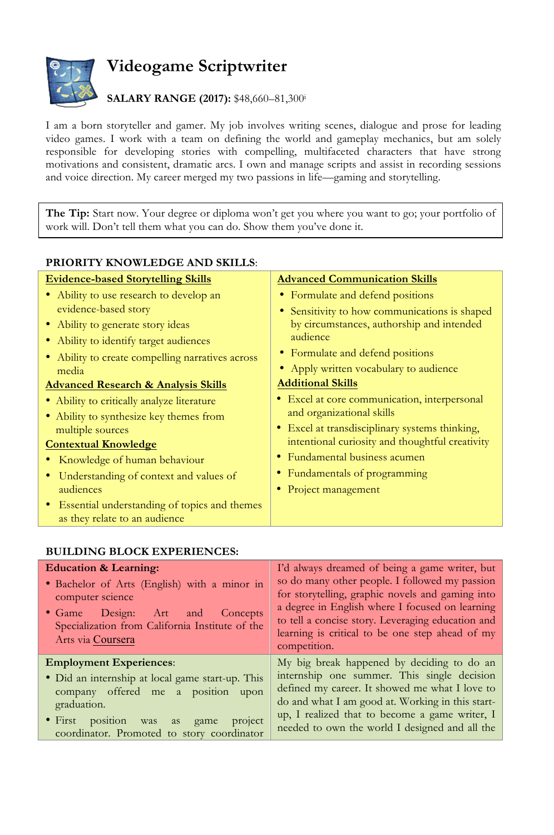

## **Videogame Scriptwriter**

## **SALARY RANGE (2017):** \$48,660–81,300i

I am a born storyteller and gamer. My job involves writing scenes, dialogue and prose for leading video games. I work with a team on defining the world and gameplay mechanics, but am solely responsible for developing stories with compelling, multifaceted characters that have strong motivations and consistent, dramatic arcs. I own and manage scripts and assist in recording sessions and voice direction. My career merged my two passions in life—gaming and storytelling.

**The Tip:** Start now. Your degree or diploma won't get you where you want to go; your portfolio of work will. Don't tell them what you can do. Show them you've done it.

| <b>PRIORITY KNOWLEDGE AND SKILLS:</b>            |                                                 |
|--------------------------------------------------|-------------------------------------------------|
| <b>Evidence-based Storytelling Skills</b>        | <b>Advanced Communication Skills</b>            |
| • Ability to use research to develop an          | • Formulate and defend positions                |
| evidence-based story                             | • Sensitivity to how communications is shaped   |
| • Ability to generate story ideas                | by circumstances, authorship and intended       |
| • Ability to identify target audiences           | audience                                        |
| • Ability to create compelling narratives across | • Formulate and defend positions                |
| media                                            | • Apply written vocabulary to audience          |
| <b>Advanced Research &amp; Analysis Skills</b>   | <b>Additional Skills</b>                        |
| • Ability to critically analyze literature       | • Excel at core communication, interpersonal    |
| • Ability to synthesize key themes from          | and organizational skills                       |
| multiple sources                                 | • Excel at transdisciplinary systems thinking,  |
| <b>Contextual Knowledge</b>                      | intentional curiosity and thoughtful creativity |
| • Knowledge of human behaviour                   | • Fundamental business acumen                   |
| • Understanding of context and values of         | • Fundamentals of programming                   |
| audiences                                        | • Project management                            |
| • Essential understanding of topics and themes   |                                                 |
| as they relate to an audience                    |                                                 |

## **BUILDING BLOCK EXPERIENCES:**

| <b>Education &amp; Learning:</b>                                                                                                                                                                                                                  | I'd always dreamed of being a game writer, but                                                                                                                                                                                                                                                      |
|---------------------------------------------------------------------------------------------------------------------------------------------------------------------------------------------------------------------------------------------------|-----------------------------------------------------------------------------------------------------------------------------------------------------------------------------------------------------------------------------------------------------------------------------------------------------|
| • Bachelor of Arts (English) with a minor in                                                                                                                                                                                                      | so do many other people. I followed my passion                                                                                                                                                                                                                                                      |
| computer science                                                                                                                                                                                                                                  | for storytelling, graphic novels and gaming into                                                                                                                                                                                                                                                    |
| • Game Design: Art and                                                                                                                                                                                                                            | a degree in English where I focused on learning                                                                                                                                                                                                                                                     |
| Concepts                                                                                                                                                                                                                                          | to tell a concise story. Leveraging education and                                                                                                                                                                                                                                                   |
| Specialization from California Institute of the                                                                                                                                                                                                   | learning is critical to be one step ahead of my                                                                                                                                                                                                                                                     |
| Arts via Coursera                                                                                                                                                                                                                                 | competition.                                                                                                                                                                                                                                                                                        |
| <b>Employment Experiences:</b><br>• Did an internship at local game start-up. This<br>company offered me a position<br>upon<br>graduation.<br>$\bullet$ First position<br>project<br>was as<br>game<br>coordinator. Promoted to story coordinator | My big break happened by deciding to do an<br>internship one summer. This single decision<br>defined my career. It showed me what I love to<br>do and what I am good at. Working in this start-<br>up, I realized that to become a game writer, I<br>needed to own the world I designed and all the |